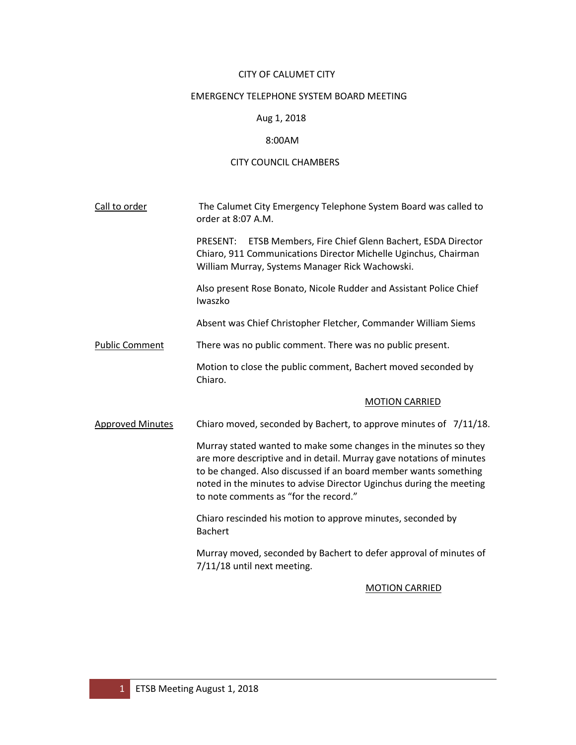#### CITY OF CALUMET CITY

#### EMERGENCY TELEPHONE SYSTEM BOARD MEETING

# Aug 1, 2018

#### 8:00AM

# CITY COUNCIL CHAMBERS

Call to order The Calumet City Emergency Telephone System Board was called to order at 8:07 A.M.

> PRESENT: ETSB Members, Fire Chief Glenn Bachert, ESDA Director Chiaro, 911 Communications Director Michelle Uginchus, Chairman William Murray, Systems Manager Rick Wachowski.

> Also present Rose Bonato, Nicole Rudder and Assistant Police Chief Iwaszko

Absent was Chief Christopher Fletcher, Commander William Siems

Public Comment There was no public comment. There was no public present.

Motion to close the public comment, Bachert moved seconded by Chiaro.

# MOTION CARRIED

Approved Minutes Chiaro moved, seconded by Bachert, to approve minutes of 7/11/18.

Murray stated wanted to make some changes in the minutes so they are more descriptive and in detail. Murray gave notations of minutes to be changed. Also discussed if an board member wants something noted in the minutes to advise Director Uginchus during the meeting to note comments as "for the record."

Chiaro rescinded his motion to approve minutes, seconded by Bachert

Murray moved, seconded by Bachert to defer approval of minutes of 7/11/18 until next meeting.

# MOTION CARRIED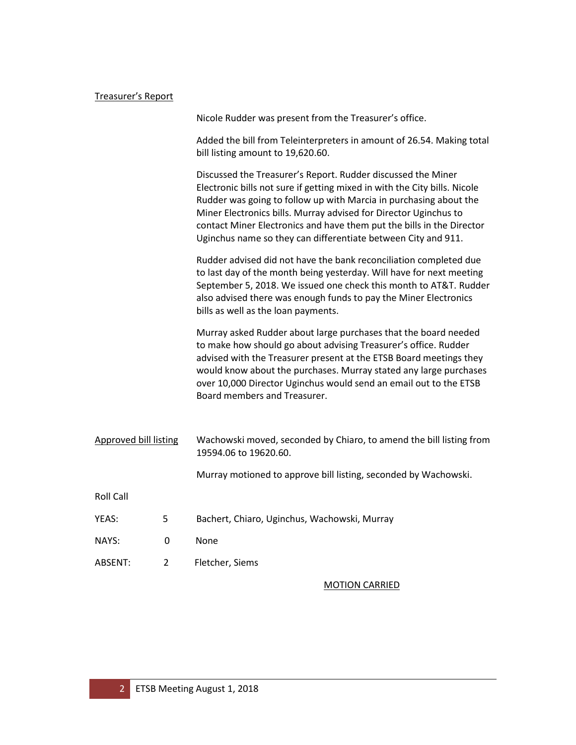# Treasurer's Report

|                              |                | Nicole Rudder was present from the Treasurer's office.                                                                                                                                                                                                                                                                                                                                                                       |
|------------------------------|----------------|------------------------------------------------------------------------------------------------------------------------------------------------------------------------------------------------------------------------------------------------------------------------------------------------------------------------------------------------------------------------------------------------------------------------------|
|                              |                | Added the bill from Teleinterpreters in amount of 26.54. Making total<br>bill listing amount to 19,620.60.                                                                                                                                                                                                                                                                                                                   |
|                              |                | Discussed the Treasurer's Report. Rudder discussed the Miner<br>Electronic bills not sure if getting mixed in with the City bills. Nicole<br>Rudder was going to follow up with Marcia in purchasing about the<br>Miner Electronics bills. Murray advised for Director Uginchus to<br>contact Miner Electronics and have them put the bills in the Director<br>Uginchus name so they can differentiate between City and 911. |
|                              |                | Rudder advised did not have the bank reconciliation completed due<br>to last day of the month being yesterday. Will have for next meeting<br>September 5, 2018. We issued one check this month to AT&T. Rudder<br>also advised there was enough funds to pay the Miner Electronics<br>bills as well as the loan payments.                                                                                                    |
|                              |                | Murray asked Rudder about large purchases that the board needed<br>to make how should go about advising Treasurer's office. Rudder<br>advised with the Treasurer present at the ETSB Board meetings they<br>would know about the purchases. Murray stated any large purchases<br>over 10,000 Director Uginchus would send an email out to the ETSB<br>Board members and Treasurer.                                           |
| <b>Approved bill listing</b> |                | Wachowski moved, seconded by Chiaro, to amend the bill listing from<br>19594.06 to 19620.60.                                                                                                                                                                                                                                                                                                                                 |
|                              |                | Murray motioned to approve bill listing, seconded by Wachowski.                                                                                                                                                                                                                                                                                                                                                              |
| <b>Roll Call</b>             |                |                                                                                                                                                                                                                                                                                                                                                                                                                              |
| YEAS:                        | 5              | Bachert, Chiaro, Uginchus, Wachowski, Murray                                                                                                                                                                                                                                                                                                                                                                                 |
| NAYS:                        | 0              | None                                                                                                                                                                                                                                                                                                                                                                                                                         |
| ABSENT:                      | $\overline{2}$ | Fletcher, Siems                                                                                                                                                                                                                                                                                                                                                                                                              |
|                              |                | <b>MOTION CARRIED</b>                                                                                                                                                                                                                                                                                                                                                                                                        |